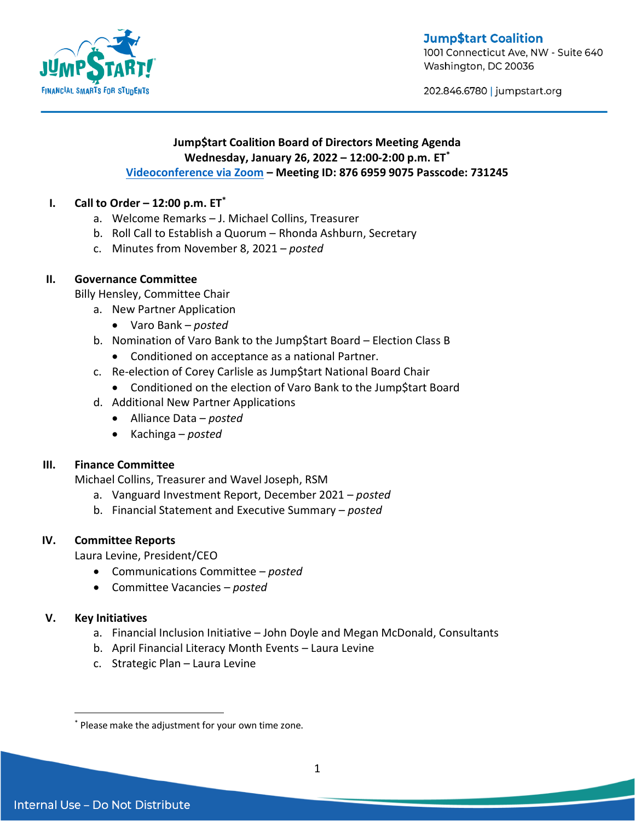**Jump\$tart Coalition** 



1001 Connecticut Ave, NW - Suite 640 Washington, DC 20036

202.846.6780 | jumpstart.org

# **Jump\$tart Coalition Board of Directors Meeting Agenda Wednesday, January 26, 2022 – 12:00-2:00 p.m. ET\* [Videoconference via Zoom](https://us02web.zoom.us/j/87669599075?pwd=SG5nUjF2UUZaa2JPUGNHcHgvbThIQT09) – Meeting ID: 876 6959 9075 Passcode: 731245**

# **I. Call to Order – 12:00 p.m. ET\***

- a. Welcome Remarks J. Michael Collins, Treasurer
- b. Roll Call to Establish a Quorum Rhonda Ashburn, Secretary
- c. Minutes from November 8, 2021 *posted*

# **II. Governance Committee**

Billy Hensley, Committee Chair

- a. New Partner Application
	- Varo Bank *posted*
- b. Nomination of Varo Bank to the Jump\$tart Board Election Class B
	- Conditioned on acceptance as a national Partner.
- c. Re-election of Corey Carlisle as Jump\$tart National Board Chair
	- Conditioned on the election of Varo Bank to the Jump\$tart Board
- d. Additional New Partner Applications
	- Alliance Data *posted*
	- Kachinga *posted*

### **III. Finance Committee**

Michael Collins, Treasurer and Wavel Joseph, RSM

- a. Vanguard Investment Report, December 2021 *posted*
- b. Financial Statement and Executive Summary *posted*

### **IV. Committee Reports**

Laura Levine, President/CEO

- Communications Committee *posted*
- Committee Vacancies *posted*

### **V. Key Initiatives**

 $\overline{a}$ 

- a. Financial Inclusion Initiative John Doyle and Megan McDonald, Consultants
- b. April Financial Literacy Month Events Laura Levine
- c. Strategic Plan Laura Levine

<sup>\*</sup> Please make the adjustment for your own time zone.